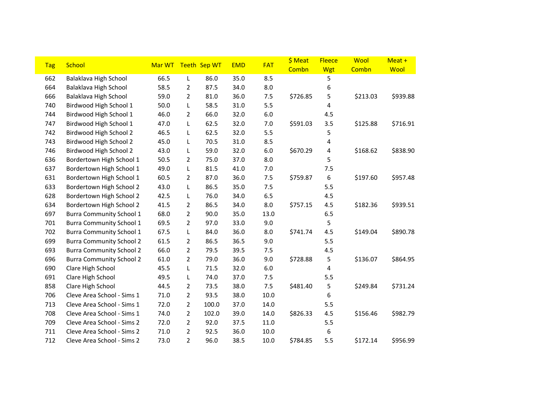| <b>Tag</b> | <b>School</b>                   | Mar WT |                | Teeth Sep WT | <b>EMD</b> | <b>FAT</b> | \$ Meat<br>Combn | <b>Fleece</b><br>Wgt | Wool<br>Combn | Meat +<br>Wool |
|------------|---------------------------------|--------|----------------|--------------|------------|------------|------------------|----------------------|---------------|----------------|
| 662        | Balaklava High School           | 66.5   | L              | 86.0         | 35.0       | 8.5        |                  | 5                    |               |                |
| 664        | Balaklava High School           | 58.5   | 2              | 87.5         | 34.0       | 8.0        |                  | 6                    |               |                |
| 666        | Balaklava High School           | 59.0   | $\overline{2}$ | 81.0         | 36.0       | 7.5        | \$726.85         | 5                    | \$213.03      | \$939.88       |
| 740        | Birdwood High School 1          | 50.0   | L              | 58.5         | 31.0       | 5.5        |                  | 4                    |               |                |
| 744        | Birdwood High School 1          | 46.0   | 2              | 66.0         | 32.0       | 6.0        |                  | 4.5                  |               |                |
| 747        | Birdwood High School 1          | 47.0   | L              | 62.5         | 32.0       | 7.0        | \$591.03         | 3.5                  | \$125.88      | \$716.91       |
| 742        | Birdwood High School 2          | 46.5   | L              | 62.5         | 32.0       | 5.5        |                  | 5                    |               |                |
| 743        | Birdwood High School 2          | 45.0   | L              | 70.5         | 31.0       | 8.5        |                  | 4                    |               |                |
| 746        | Birdwood High School 2          | 43.0   | L              | 59.0         | 32.0       | 6.0        | \$670.29         | 4                    | \$168.62      | \$838.90       |
| 636        | Bordertown High School 1        | 50.5   | $\overline{2}$ | 75.0         | 37.0       | 8.0        |                  | 5                    |               |                |
| 637        | Bordertown High School 1        | 49.0   | L              | 81.5         | 41.0       | 7.0        |                  | 7.5                  |               |                |
| 631        | Bordertown High School 1        | 60.5   | 2              | 87.0         | 36.0       | 7.5        | \$759.87         | 6                    | \$197.60      | \$957.48       |
| 633        | Bordertown High School 2        | 43.0   | L              | 86.5         | 35.0       | 7.5        |                  | 5.5                  |               |                |
| 628        | Bordertown High School 2        | 42.5   | L              | 76.0         | 34.0       | 6.5        |                  | 4.5                  |               |                |
| 634        | Bordertown High School 2        | 41.5   | $\overline{2}$ | 86.5         | 34.0       | 8.0        | \$757.15         | 4.5                  | \$182.36      | \$939.51       |
| 697        | <b>Burra Community School 1</b> | 68.0   | $\overline{2}$ | 90.0         | 35.0       | 13.0       |                  | 6.5                  |               |                |
| 701        | <b>Burra Community School 1</b> | 69.5   | $\overline{2}$ | 97.0         | 33.0       | 9.0        |                  | 5                    |               |                |
| 702        | <b>Burra Community School 1</b> | 67.5   | L              | 84.0         | 36.0       | 8.0        | \$741.74         | 4.5                  | \$149.04      | \$890.78       |
| 699        | <b>Burra Community School 2</b> | 61.5   | $\overline{2}$ | 86.5         | 36.5       | 9.0        |                  | 5.5                  |               |                |
| 693        | <b>Burra Community School 2</b> | 66.0   | $\overline{2}$ | 79.5         | 39.5       | 7.5        |                  | 4.5                  |               |                |
| 696        | <b>Burra Community School 2</b> | 61.0   | $\overline{2}$ | 79.0         | 36.0       | 9.0        | \$728.88         | 5                    | \$136.07      | \$864.95       |
| 690        | Clare High School               | 45.5   | L              | 71.5         | 32.0       | 6.0        |                  | 4                    |               |                |
| 691        | Clare High School               | 49.5   | L              | 74.0         | 37.0       | 7.5        |                  | 5.5                  |               |                |
| 858        | Clare High School               | 44.5   | $\overline{2}$ | 73.5         | 38.0       | 7.5        | \$481.40         | 5                    | \$249.84      | \$731.24       |
| 706        | Cleve Area School - Sims 1      | 71.0   | $\overline{2}$ | 93.5         | 38.0       | 10.0       |                  | 6                    |               |                |
| 713        | Cleve Area School - Sims 1      | 72.0   | $\overline{2}$ | 100.0        | 37.0       | 14.0       |                  | 5.5                  |               |                |
| 708        | Cleve Area School - Sims 1      | 74.0   | $\overline{2}$ | 102.0        | 39.0       | 14.0       | \$826.33         | 4.5                  | \$156.46      | \$982.79       |
| 709        | Cleve Area School - Sims 2      | 72.0   | $\overline{2}$ | 92.0         | 37.5       | 11.0       |                  | 5.5                  |               |                |
| 711        | Cleve Area School - Sims 2      | 71.0   | $\overline{2}$ | 92.5         | 36.0       | 10.0       |                  | 6                    |               |                |
| 712        | Cleve Area School - Sims 2      | 73.0   | $\overline{2}$ | 96.0         | 38.5       | 10.0       | \$784.85         | 5.5                  | \$172.14      | \$956.99       |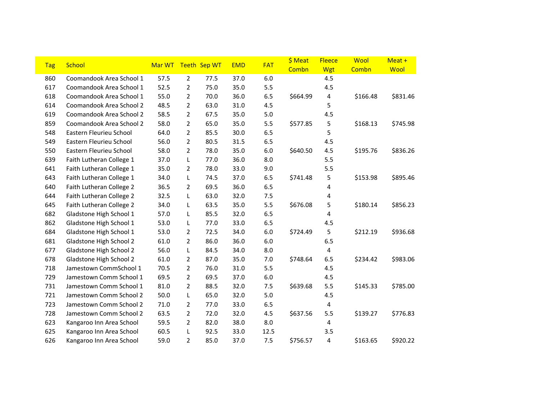| <b>Tag</b> | <b>School</b>            | Mar WT |                | Teeth Sep WT | <b>EMD</b> | <b>FAT</b> | \$ Meat<br>Combn | <b>Fleece</b><br>Wgt | Wool<br>Combn | Meat +<br>Wool |
|------------|--------------------------|--------|----------------|--------------|------------|------------|------------------|----------------------|---------------|----------------|
| 860        | Coomandook Area School 1 | 57.5   | $\overline{2}$ | 77.5         | 37.0       | $6.0$      |                  | 4.5                  |               |                |
| 617        | Coomandook Area School 1 | 52.5   | $\overline{2}$ | 75.0         | 35.0       | 5.5        |                  | 4.5                  |               |                |
| 618        | Coomandook Area School 1 | 55.0   | 2              | 70.0         | 36.0       | 6.5        | \$664.99         | 4                    | \$166.48      | \$831.46       |
| 614        | Coomandook Area School 2 | 48.5   | $\overline{2}$ | 63.0         | 31.0       | 4.5        |                  | 5                    |               |                |
| 619        | Coomandook Area School 2 | 58.5   | $\overline{2}$ | 67.5         | 35.0       | 5.0        |                  | 4.5                  |               |                |
| 859        | Coomandook Area School 2 | 58.0   | 2              | 65.0         | 35.0       | 5.5        | \$577.85         | 5                    | \$168.13      | \$745.98       |
| 548        | Eastern Fleurieu School  | 64.0   | $\overline{2}$ | 85.5         | 30.0       | 6.5        |                  | 5                    |               |                |
| 549        | Eastern Fleurieu School  | 56.0   | $\overline{2}$ | 80.5         | 31.5       | 6.5        |                  | 4.5                  |               |                |
| 550        | Eastern Fleurieu School  | 58.0   | 2              | 78.0         | 35.0       | 6.0        | \$640.50         | 4.5                  | \$195.76      | \$836.26       |
| 639        | Faith Lutheran College 1 | 37.0   | L              | 77.0         | 36.0       | 8.0        |                  | 5.5                  |               |                |
| 641        | Faith Lutheran College 1 | 35.0   | 2              | 78.0         | 33.0       | 9.0        |                  | 5.5                  |               |                |
| 643        | Faith Lutheran College 1 | 34.0   | L              | 74.5         | 37.0       | 6.5        | \$741.48         | 5                    | \$153.98      | \$895.46       |
| 640        | Faith Lutheran College 2 | 36.5   | 2              | 69.5         | 36.0       | 6.5        |                  | 4                    |               |                |
| 644        | Faith Lutheran College 2 | 32.5   | L              | 63.0         | 32.0       | 7.5        |                  | 4                    |               |                |
| 645        | Faith Lutheran College 2 | 34.0   | L              | 63.5         | 35.0       | 5.5        | \$676.08         | 5                    | \$180.14      | \$856.23       |
| 682        | Gladstone High School 1  | 57.0   | L              | 85.5         | 32.0       | 6.5        |                  | 4                    |               |                |
| 862        | Gladstone High School 1  | 53.0   | L              | 77.0         | 33.0       | 6.5        |                  | 4.5                  |               |                |
| 684        | Gladstone High School 1  | 53.0   | $\overline{2}$ | 72.5         | 34.0       | 6.0        | \$724.49         | 5                    | \$212.19      | \$936.68       |
| 681        | Gladstone High School 2  | 61.0   | $\overline{2}$ | 86.0         | 36.0       | 6.0        |                  | 6.5                  |               |                |
| 677        | Gladstone High School 2  | 56.0   | L              | 84.5         | 34.0       | 8.0        |                  | 4                    |               |                |
| 678        | Gladstone High School 2  | 61.0   | $\overline{2}$ | 87.0         | 35.0       | 7.0        | \$748.64         | 6.5                  | \$234.42      | \$983.06       |
| 718        | Jamestown CommSchool 1   | 70.5   | $\overline{2}$ | 76.0         | 31.0       | 5.5        |                  | 4.5                  |               |                |
| 729        | Jamestown Comm School 1  | 69.5   | $\overline{2}$ | 69.5         | 37.0       | 6.0        |                  | 4.5                  |               |                |
| 731        | Jamestown Comm School 1  | 81.0   | 2              | 88.5         | 32.0       | 7.5        | \$639.68         | 5.5                  | \$145.33      | \$785.00       |
| 721        | Jamestown Comm School 2  | 50.0   | L              | 65.0         | 32.0       | 5.0        |                  | 4.5                  |               |                |
| 723        | Jamestown Comm School 2  | 71.0   | 2              | 77.0         | 33.0       | 6.5        |                  | 4                    |               |                |
| 728        | Jamestown Comm School 2  | 63.5   | $\overline{2}$ | 72.0         | 32.0       | 4.5        | \$637.56         | 5.5                  | \$139.27      | \$776.83       |
| 623        | Kangaroo Inn Area School | 59.5   | 2              | 82.0         | 38.0       | 8.0        |                  | 4                    |               |                |
| 625        | Kangaroo Inn Area School | 60.5   | L              | 92.5         | 33.0       | 12.5       |                  | 3.5                  |               |                |
| 626        | Kangaroo Inn Area School | 59.0   | 2              | 85.0         | 37.0       | 7.5        | \$756.57         | 4                    | \$163.65      | \$920.22       |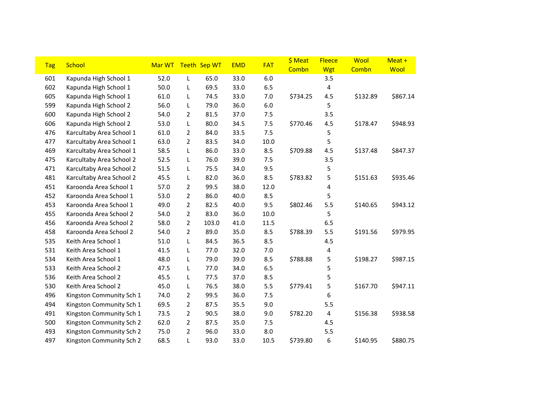| <b>Tag</b> | School                   | Mar WT |                | Teeth Sep WT | <b>EMD</b> | <b>FAT</b> | \$ Meat<br>Combn | <b>Fleece</b><br><b>Wgt</b> | Wool<br>Combn | Meat +<br>Wool |
|------------|--------------------------|--------|----------------|--------------|------------|------------|------------------|-----------------------------|---------------|----------------|
| 601        | Kapunda High School 1    | 52.0   | L              | 65.0         | 33.0       | $6.0$      |                  | 3.5                         |               |                |
| 602        | Kapunda High School 1    | 50.0   | L              | 69.5         | 33.0       | 6.5        |                  | 4                           |               |                |
| 605        | Kapunda High School 1    | 61.0   | L              | 74.5         | 33.0       | 7.0        | \$734.25         | 4.5                         | \$132.89      | \$867.14       |
| 599        | Kapunda High School 2    | 56.0   | L              | 79.0         | 36.0       | $6.0$      |                  | 5                           |               |                |
| 600        | Kapunda High School 2    | 54.0   | 2              | 81.5         | 37.0       | 7.5        |                  | 3.5                         |               |                |
| 606        | Kapunda High School 2    | 53.0   | L              | 80.0         | 34.5       | 7.5        | \$770.46         | 4.5                         | \$178.47      | \$948.93       |
| 476        | Karcultaby Area School 1 | 61.0   | 2              | 84.0         | 33.5       | 7.5        |                  | 5                           |               |                |
| 477        | Karcultaby Area School 1 | 63.0   | $\overline{2}$ | 83.5         | 34.0       | 10.0       |                  | 5                           |               |                |
| 469        | Karcultaby Area School 1 | 58.5   | L              | 86.0         | 33.0       | 8.5        | \$709.88         | 4.5                         | \$137.48      | \$847.37       |
| 475        | Karcultaby Area School 2 | 52.5   | L              | 76.0         | 39.0       | 7.5        |                  | 3.5                         |               |                |
| 471        | Karcultaby Area School 2 | 51.5   | L              | 75.5         | 34.0       | 9.5        |                  | 5                           |               |                |
| 481        | Karcultaby Area School 2 | 45.5   | L              | 82.0         | 36.0       | 8.5        | \$783.82         | 5                           | \$151.63      | \$935.46       |
| 451        | Karoonda Area School 1   | 57.0   | 2              | 99.5         | 38.0       | 12.0       |                  | 4                           |               |                |
| 452        | Karoonda Area School 1   | 53.0   | 2              | 86.0         | 40.0       | 8.5        |                  | 5                           |               |                |
| 453        | Karoonda Area School 1   | 49.0   | $\overline{2}$ | 82.5         | 40.0       | 9.5        | \$802.46         | 5.5                         | \$140.65      | \$943.12       |
| 455        | Karoonda Area School 2   | 54.0   | 2              | 83.0         | 36.0       | 10.0       |                  | 5                           |               |                |
| 456        | Karoonda Area School 2   | 58.0   | 2              | 103.0        | 41.0       | 11.5       |                  | 6.5                         |               |                |
| 458        | Karoonda Area School 2   | 54.0   | $\overline{2}$ | 89.0         | 35.0       | 8.5        | \$788.39         | 5.5                         | \$191.56      | \$979.95       |
| 535        | Keith Area School 1      | 51.0   | L              | 84.5         | 36.5       | 8.5        |                  | 4.5                         |               |                |
| 531        | Keith Area School 1      | 41.5   | L              | 77.0         | 32.0       | 7.0        |                  | 4                           |               |                |
| 534        | Keith Area School 1      | 48.0   | L              | 79.0         | 39.0       | 8.5        | \$788.88         | 5                           | \$198.27      | \$987.15       |
| 533        | Keith Area School 2      | 47.5   | L              | 77.0         | 34.0       | 6.5        |                  | 5                           |               |                |
| 536        | Keith Area School 2      | 45.5   | L              | 77.5         | 37.0       | 8.5        |                  | 5                           |               |                |
| 530        | Keith Area School 2      | 45.0   | L              | 76.5         | 38.0       | 5.5        | \$779.41         | 5                           | \$167.70      | \$947.11       |
| 496        | Kingston Community Sch 1 | 74.0   | 2              | 99.5         | 36.0       | 7.5        |                  | 6                           |               |                |
| 494        | Kingston Community Sch 1 | 69.5   | $\overline{2}$ | 87.5         | 35.5       | 9.0        |                  | 5.5                         |               |                |
| 491        | Kingston Community Sch 1 | 73.5   | $\overline{2}$ | 90.5         | 38.0       | 9.0        | \$782.20         | 4                           | \$156.38      | \$938.58       |
| 500        | Kingston Community Sch 2 | 62.0   | 2              | 87.5         | 35.0       | 7.5        |                  | 4.5                         |               |                |
| 493        | Kingston Community Sch 2 | 75.0   | 2              | 96.0         | 33.0       | 8.0        |                  | 5.5                         |               |                |
| 497        | Kingston Community Sch 2 | 68.5   | L              | 93.0         | 33.0       | 10.5       | \$739.80         | 6                           | \$140.95      | \$880.75       |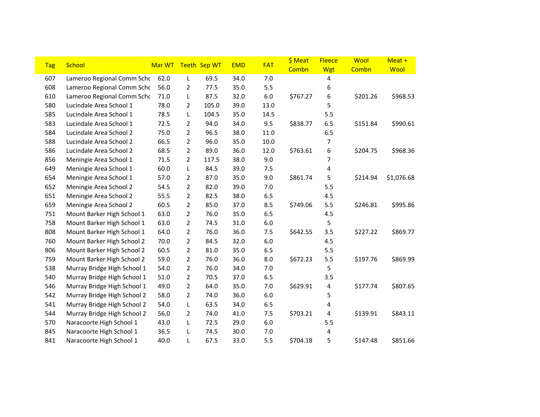| <b>Tag</b> | <b>School</b>               | Mar WT |                | Teeth Sep WT | <b>EMD</b> | <b>FAT</b> | \$ Meat  | <b>Fleece</b>  | Wool     | Meat +     |
|------------|-----------------------------|--------|----------------|--------------|------------|------------|----------|----------------|----------|------------|
|            |                             |        |                |              |            |            | Combn    | <b>Wgt</b>     | Combn    | Wool       |
| 607        | Lameroo Regional Comm Schc  | 62.0   | L              | 69.5         | 34.0       | 7.0        |          | 4              |          |            |
| 608        | Lameroo Regional Comm Schc  | 56.0   | 2              | 77.5         | 35.0       | 5.5        |          | 6              |          |            |
| 610        | Lameroo Regional Comm Schc  | 71.0   | L              | 87.5         | 32.0       | $6.0\,$    | \$767.27 | 6              | \$201.26 | \$968.53   |
| 580        | Lucindale Area School 1     | 78.0   | $\overline{2}$ | 105.0        | 39.0       | 13.0       |          | 5              |          |            |
| 585        | Lucindale Area School 1     | 78.5   | L              | 104.5        | 35.0       | 14.5       |          | 5.5            |          |            |
| 583        | Lucindale Area School 1     | 72.5   | 2              | 94.0         | 34.0       | 9.5        | \$838.77 | 6.5            | \$151.84 | \$990.61   |
| 584        | Lucindale Area School 2     | 75.0   | $\overline{2}$ | 96.5         | 38.0       | 11.0       |          | 6.5            |          |            |
| 588        | Lucindale Area School 2     | 66.5   | 2              | 96.0         | 35.0       | 10.0       |          | 7              |          |            |
| 586        | Lucindale Area School 2     | 68.5   | $\overline{2}$ | 89.0         | 36.0       | 12.0       | \$763.61 | 6              | \$204.75 | \$968.36   |
| 856        | Meningie Area School 1      | 71.5   | $\overline{2}$ | 117.5        | 38.0       | 9.0        |          | $\overline{7}$ |          |            |
| 649        | Meningie Area School 1      | 60.0   | L              | 84.5         | 39.0       | 7.5        |          | 4              |          |            |
| 654        | Meningie Area School 1      | 57.0   | 2              | 87.0         | 35.0       | 9.0        | \$861.74 | 5              | \$214.94 | \$1,076.68 |
| 652        | Meningie Area School 2      | 54.5   | $\overline{2}$ | 82.0         | 39.0       | 7.0        |          | 5.5            |          |            |
| 651        | Meningie Area School 2      | 55.5   | 2              | 82.5         | 38.0       | 6.5        |          | 4.5            |          |            |
| 659        | Meningie Area School 2      | 60.5   | $\overline{2}$ | 85.0         | 37.0       | 8.5        | \$749.06 | 5.5            | \$246.81 | \$995.86   |
| 751        | Mount Barker High School 1  | 63.0   | $\overline{2}$ | 76.0         | 35.0       | 6.5        |          | 4.5            |          |            |
| 758        | Mount Barker High School 1  | 63.0   | $\overline{2}$ | 74.5         | 31.0       | $6.0\,$    |          | 5              |          |            |
| 808        | Mount Barker High School 1  | 64.0   | $\overline{2}$ | 76.0         | 36.0       | 7.5        | \$642.55 | 3.5            | \$227.22 | \$869.77   |
| 760        | Mount Barker High School 2  | 70.0   | $\overline{2}$ | 84.5         | 32.0       | $6.0\,$    |          | 4.5            |          |            |
| 806        | Mount Barker High School 2  | 60.5   | 2              | 81.0         | 35.0       | 6.5        |          | 5.5            |          |            |
| 759        | Mount Barker High School 2  | 59.0   | $\overline{2}$ | 76.0         | 36.0       | 8.0        | \$672.23 | 5.5            | \$197.76 | \$869.99   |
| 538        | Murray Bridge High School 1 | 54.0   | $\overline{2}$ | 76.0         | 34.0       | 7.0        |          | 5              |          |            |
| 540        | Murray Bridge High School 1 | 51.0   | $\overline{2}$ | 70.5         | 37.0       | 6.5        |          | 3.5            |          |            |
| 546        | Murray Bridge High School 1 | 49.0   | $\overline{2}$ | 64.0         | 35.0       | 7.0        | \$629.91 | 4              | \$177.74 | \$807.65   |
| 542        | Murray Bridge High School 2 | 58.0   | $\overline{2}$ | 74.0         | 36.0       | $6.0\,$    |          | 5              |          |            |
| 541        | Murray Bridge High School 2 | 54.0   | L              | 63.5         | 34.0       | 6.5        |          | 4              |          |            |
| 544        | Murray Bridge High School 2 | 56.0   | $\overline{2}$ | 74.0         | 41.0       | 7.5        | \$703.21 | 4              | \$139.91 | \$843.11   |
| 570        | Naracoorte High School 1    | 43.0   | L              | 72.5         | 29.0       | $6.0\,$    |          | 5.5            |          |            |
| 845        | Naracoorte High School 1    | 36.5   | L              | 74.5         | 30.0       | 7.0        |          | 4              |          |            |
| 841        | Naracoorte High School 1    | 40.0   | L              | 67.5         | 33.0       | 5.5        | \$704.18 | 5              | \$147.48 | \$851.66   |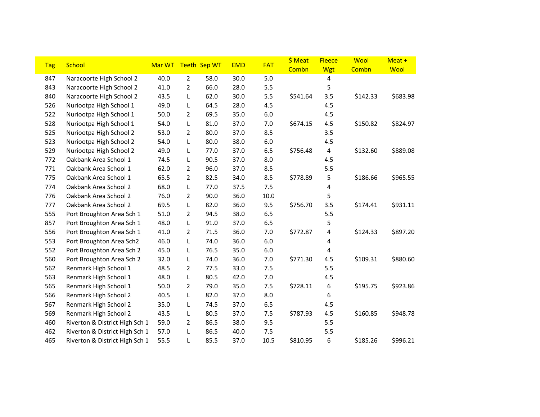| <b>Tag</b> | <b>School</b>                  | Mar WT |                | Teeth Sep WT | <b>EMD</b> | <b>FAT</b> | \$ Meat<br>Combn | <b>Fleece</b><br>Wgt | Wool<br>Combn | Meat +<br>Wool |
|------------|--------------------------------|--------|----------------|--------------|------------|------------|------------------|----------------------|---------------|----------------|
| 847        | Naracoorte High School 2       | 40.0   | $\overline{2}$ | 58.0         | 30.0       | 5.0        |                  | 4                    |               |                |
| 843        | Naracoorte High School 2       | 41.0   | 2              | 66.0         | 28.0       | 5.5        |                  | 5                    |               |                |
| 840        | Naracoorte High School 2       | 43.5   | L              | 62.0         | 30.0       | 5.5        | \$541.64         | 3.5                  | \$142.33      | \$683.98       |
| 526        | Nuriootpa High School 1        | 49.0   | L              | 64.5         | 28.0       | 4.5        |                  | 4.5                  |               |                |
| 522        | Nuriootpa High School 1        | 50.0   | 2              | 69.5         | 35.0       | 6.0        |                  | 4.5                  |               |                |
| 528        | Nuriootpa High School 1        | 54.0   | L              | 81.0         | 37.0       | 7.0        | \$674.15         | 4.5                  | \$150.82      | \$824.97       |
| 525        | Nuriootpa High School 2        | 53.0   | $\overline{2}$ | 80.0         | 37.0       | 8.5        |                  | 3.5                  |               |                |
| 523        | Nuriootpa High School 2        | 54.0   | L              | 80.0         | 38.0       | 6.0        |                  | 4.5                  |               |                |
| 529        | Nuriootpa High School 2        | 49.0   | L              | 77.0         | 37.0       | 6.5        | \$756.48         | 4                    | \$132.60      | \$889.08       |
| 772        | Oakbank Area School 1          | 74.5   | L              | 90.5         | 37.0       | 8.0        |                  | 4.5                  |               |                |
| 771        | Oakbank Area School 1          | 62.0   | $\overline{2}$ | 96.0         | 37.0       | 8.5        |                  | 5.5                  |               |                |
| 775        | Oakbank Area School 1          | 65.5   | $\overline{2}$ | 82.5         | 34.0       | 8.5        | \$778.89         | 5                    | \$186.66      | \$965.55       |
| 774        | Oakbank Area School 2          | 68.0   | L              | 77.0         | 37.5       | 7.5        |                  | 4                    |               |                |
| 776        | Oakbank Area School 2          | 76.0   | $\overline{2}$ | 90.0         | 36.0       | 10.0       |                  | 5                    |               |                |
| 777        | Oakbank Area School 2          | 69.5   | L              | 82.0         | 36.0       | 9.5        | \$756.70         | 3.5                  | \$174.41      | \$931.11       |
| 555        | Port Broughton Area Sch 1      | 51.0   | $\overline{2}$ | 94.5         | 38.0       | 6.5        |                  | 5.5                  |               |                |
| 857        | Port Broughton Area Sch 1      | 48.0   | L              | 91.0         | 37.0       | 6.5        |                  | 5                    |               |                |
| 556        | Port Broughton Area Sch 1      | 41.0   | $\overline{2}$ | 71.5         | 36.0       | 7.0        | \$772.87         | 4                    | \$124.33      | \$897.20       |
| 553        | Port Broughton Area Sch2       | 46.0   | L              | 74.0         | 36.0       | 6.0        |                  | 4                    |               |                |
| 552        | Port Broughton Area Sch 2      | 45.0   | L              | 76.5         | 35.0       | 6.0        |                  | 4                    |               |                |
| 560        | Port Broughton Area Sch 2      | 32.0   | L              | 74.0         | 36.0       | 7.0        | \$771.30         | 4.5                  | \$109.31      | \$880.60       |
| 562        | Renmark High School 1          | 48.5   | $\overline{2}$ | 77.5         | 33.0       | 7.5        |                  | 5.5                  |               |                |
| 563        | Renmark High School 1          | 48.0   | L              | 80.5         | 42.0       | 7.0        |                  | 4.5                  |               |                |
| 565        | Renmark High School 1          | 50.0   | $\overline{2}$ | 79.0         | 35.0       | 7.5        | \$728.11         | 6                    | \$195.75      | \$923.86       |
| 566        | Renmark High School 2          | 40.5   | L              | 82.0         | 37.0       | 8.0        |                  | 6                    |               |                |
| 567        | Renmark High School 2          | 35.0   | L              | 74.5         | 37.0       | 6.5        |                  | 4.5                  |               |                |
| 569        | Renmark High School 2          | 43.5   | L              | 80.5         | 37.0       | 7.5        | \$787.93         | 4.5                  | \$160.85      | \$948.78       |
| 460        | Riverton & District High Sch 1 | 59.0   | $\overline{2}$ | 86.5         | 38.0       | 9.5        |                  | 5.5                  |               |                |
| 462        | Riverton & District High Sch 1 | 57.0   | L              | 86.5         | 40.0       | 7.5        |                  | 5.5                  |               |                |
| 465        | Riverton & District High Sch 1 | 55.5   | L              | 85.5         | 37.0       | 10.5       | \$810.95         | 6                    | \$185.26      | \$996.21       |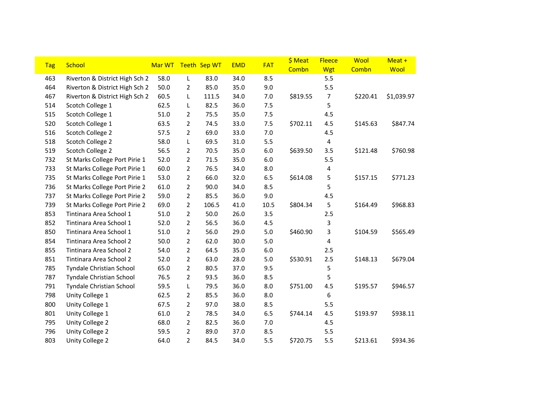| <b>Tag</b> | School                         | Mar WT Teeth Sep WT |                |       | <b>EMD</b> | <b>FAT</b> | \$ Meat  | <b>Fleece</b> | Wool     | Meat +     |
|------------|--------------------------------|---------------------|----------------|-------|------------|------------|----------|---------------|----------|------------|
|            |                                |                     |                |       |            |            | Combn    | Wgt           | Combn    | Wool       |
| 463        | Riverton & District High Sch 2 | 58.0                | L              | 83.0  | 34.0       | 8.5        |          | 5.5           |          |            |
| 464        | Riverton & District High Sch 2 | 50.0                | 2              | 85.0  | 35.0       | 9.0        |          | 5.5           |          |            |
| 467        | Riverton & District High Sch 2 | 60.5                | L              | 111.5 | 34.0       | 7.0        | \$819.55 | 7             | \$220.41 | \$1,039.97 |
| 514        | Scotch College 1               | 62.5                | L              | 82.5  | 36.0       | 7.5        |          | 5             |          |            |
| 515        | Scotch College 1               | 51.0                | $\overline{2}$ | 75.5  | 35.0       | 7.5        |          | 4.5           |          |            |
| 520        | Scotch College 1               | 63.5                | $\overline{2}$ | 74.5  | 33.0       | 7.5        | \$702.11 | 4.5           | \$145.63 | \$847.74   |
| 516        | Scotch College 2               | 57.5                | $\overline{2}$ | 69.0  | 33.0       | 7.0        |          | 4.5           |          |            |
| 518        | Scotch College 2               | 58.0                | L              | 69.5  | 31.0       | 5.5        |          | 4             |          |            |
| 519        | Scotch College 2               | 56.5                | $\overline{2}$ | 70.5  | 35.0       | $6.0\,$    | \$639.50 | 3.5           | \$121.48 | \$760.98   |
| 732        | St Marks College Port Pirie 1  | 52.0                | $\overline{2}$ | 71.5  | 35.0       | $6.0\,$    |          | 5.5           |          |            |
| 733        | St Marks College Port Pirie 1  | 60.0                | $\overline{2}$ | 76.5  | 34.0       | 8.0        |          | 4             |          |            |
| 735        | St Marks College Port Pirie 1  | 53.0                | $\overline{2}$ | 66.0  | 32.0       | 6.5        | \$614.08 | 5             | \$157.15 | \$771.23   |
| 736        | St Marks College Port Pirie 2  | 61.0                | $\overline{2}$ | 90.0  | 34.0       | 8.5        |          | 5             |          |            |
| 737        | St Marks College Port Pirie 2  | 59.0                | $\overline{2}$ | 85.5  | 36.0       | 9.0        |          | 4.5           |          |            |
| 739        | St Marks College Port Pirie 2  | 69.0                | $\overline{2}$ | 106.5 | 41.0       | 10.5       | \$804.34 | 5             | \$164.49 | \$968.83   |
| 853        | Tintinara Area School 1        | 51.0                | $\overline{2}$ | 50.0  | 26.0       | 3.5        |          | 2.5           |          |            |
| 852        | Tintinara Area School 1        | 52.0                | 2              | 56.5  | 36.0       | 4.5        |          | 3             |          |            |
| 850        | Tintinara Area School 1        | 51.0                | $\overline{2}$ | 56.0  | 29.0       | 5.0        | \$460.90 | 3             | \$104.59 | \$565.49   |
| 854        | Tintinara Area School 2        | 50.0                | $\overline{2}$ | 62.0  | 30.0       | 5.0        |          | 4             |          |            |
| 855        | Tintinara Area School 2        | 54.0                | $\overline{2}$ | 64.5  | 35.0       | 6.0        |          | 2.5           |          |            |
| 851        | Tintinara Area School 2        | 52.0                | $\overline{2}$ | 63.0  | 28.0       | 5.0        | \$530.91 | 2.5           | \$148.13 | \$679.04   |
| 785        | Tyndale Christian School       | 65.0                | $\overline{2}$ | 80.5  | 37.0       | 9.5        |          | 5             |          |            |
| 787        | Tyndale Christian School       | 76.5                | $\overline{2}$ | 93.5  | 36.0       | 8.5        |          | 5             |          |            |
| 791        | Tyndale Christian School       | 59.5                | L              | 79.5  | 36.0       | 8.0        | \$751.00 | 4.5           | \$195.57 | \$946.57   |
| 798        | Unity College 1                | 62.5                | $\overline{2}$ | 85.5  | 36.0       | 8.0        |          | 6             |          |            |
| 800        | Unity College 1                | 67.5                | $\overline{2}$ | 97.0  | 38.0       | 8.5        |          | 5.5           |          |            |
| 801        | Unity College 1                | 61.0                | $\overline{2}$ | 78.5  | 34.0       | 6.5        | \$744.14 | 4.5           | \$193.97 | \$938.11   |
| 795        | Unity College 2                | 68.0                | $\overline{2}$ | 82.5  | 36.0       | 7.0        |          | 4.5           |          |            |
| 796        | Unity College 2                | 59.5                | $\overline{2}$ | 89.0  | 37.0       | 8.5        |          | 5.5           |          |            |
| 803        | Unity College 2                | 64.0                | $\overline{2}$ | 84.5  | 34.0       | 5.5        | \$720.75 | 5.5           | \$213.61 | \$934.36   |